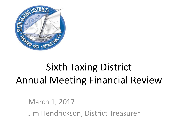

# Sixth Taxing District Annual Meeting Financial Review

March 1, 2017 Jim Hendrickson, District Treasurer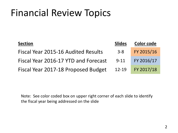| <b>Section</b>                       | <b>Slides</b> | <b>Color code</b> |
|--------------------------------------|---------------|-------------------|
| Fiscal Year 2015-16 Audited Results  | $3 - 8$       | FY 2015/16        |
| Fiscal Year 2016-17 YTD and Forecast | $9 - 11$      | FY 2016/17        |
| Fiscal Year 2017-18 Proposed Budget  | $12 - 19$     | FY 2017/18        |

Note: See color coded box on upper right corner of each slide to identify the fiscal year being addressed on the slide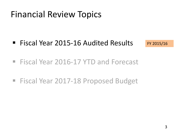■ Fiscal Year 2015-16 Audited Results

FY 2015/16

- Fiscal Year 2016-17 YTD and Forecast
- Fiscal Year 2017-18 Proposed Budget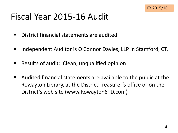#### Fiscal Year 2015-16 Audit

- District financial statements are audited
- Independent Auditor is O'Connor Davies, LLP in Stamford, CT.
- Results of audit: Clean, unqualified opinion
- Audited financial statements are available to the public at the Rowayton Library, at the District Treasurer's office or on the District's web site (www.Rowayton6TD.com)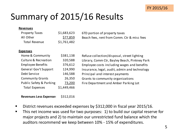

#### Summary of 2015/16 Results

| <b>Revenues</b>          |             |                                               |
|--------------------------|-------------|-----------------------------------------------|
| <b>Property Taxes</b>    | \$1,683,623 | 6TD portion of property taxes                 |
| All Other                | \$77,859    | Beach fees, rent from Comm. Ctr & misc fees   |
| <b>Total Revenue</b>     | \$1,761,482 |                                               |
| <b>Expenses</b>          |             |                                               |
| Home & Community         | \$381,138   |                                               |
|                          |             | Refuse collection/disposal, street lighting   |
| Culture & Recreation     | 320,588     | Library, Comm Ctr, Bayley Beach, Pinkney Park |
| <b>Employee Benefits</b> | 376,612     | Employee costs including wages and benefits   |
| General Gov't Support    | 124,990     | Insurance, legal, audit, admin and technology |
| Debt Service             | 146,588     | Principal and interest payments               |
| <b>Community Grants</b>  | 26,350      | Grants to community organizations             |
| Public Safety & Parking  | 73,200      | Fire Department and Amber Parking Lot         |
| <b>Total Expenses</b>    | \$1,449,466 |                                               |

#### **Revenues Less Expenses** \$312,016

- **District revenues exceeded expenses by \$312,000 in fiscal year 2015/16.**
- **This net income was used for two purposes: 1) to build our capital reserve for** major projects and 2) to maintain our unrestricted fund balance which the auditors recommend we keep between 10% - 15% of expenditures.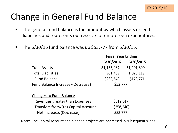

#### Change in General Fund Balance

- The general fund balance is the amount by which assets exceed liabilities and represents our reserve for unforeseen expenditures.
- $\blacksquare$  The 6/30/16 fund balance was up \$53,777 from 6/30/15.

|                                     | <b>Fiscal Year Ending</b> |             |  |
|-------------------------------------|---------------------------|-------------|--|
|                                     | 6/30/2016                 | 6/30/2015   |  |
| <b>Total Assets</b>                 | \$1,133,987               | \$1,201,890 |  |
| <b>Total Liabilities</b>            | 901,439                   | 1,023,119   |  |
| <b>Fund Balance</b>                 | \$232,548                 | \$178,771   |  |
| Fund Balance Increase/(Decrease)    | \$53,777                  |             |  |
| <b>Changes to Fund Balance</b>      |                           |             |  |
| Revenues greater than Expenses      | \$312,017                 |             |  |
| Transfers from/(to) Capital Account | (258,240)                 |             |  |
| Net Increase/(Decrease)             | \$53,777                  |             |  |

Note: The Capital Account and planned projects are addressed in subsequent slides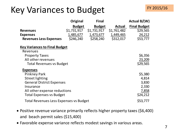#### Key Variances to Budget

|                                        | Original      | <b>Final</b>  |             | Actual $B/(W)$      |
|----------------------------------------|---------------|---------------|-------------|---------------------|
|                                        | <b>Budget</b> | <b>Budget</b> | Actual      | <b>Final Budget</b> |
| <b>Revenues</b>                        | \$1,731,917   | \$1,731,917   | \$1,761,482 | \$29,565            |
| <b>Expenses</b>                        | 1,485,677     | 1,473,677     | 1,449,465   | 24,212              |
| <b>Revenues Less Expenses</b>          | \$246,240     | \$258,240     | \$312,017   | \$53,777            |
| <b>Key Variances to Final Budget</b>   |               |               |             |                     |
| Revenues                               |               |               |             |                     |
| <b>Property Taxes</b>                  |               |               |             | \$6,356             |
| All other revenues                     |               |               |             | 23,209              |
| <b>Total Revenues vs Budget</b>        |               |               |             | \$29,565            |
| <b>Expenses</b>                        |               |               |             |                     |
| <b>Pinkney Park</b>                    |               |               |             | \$5,380             |
| <b>Street lighting</b>                 |               |               |             | 4,814               |
| <b>General District Expenses</b>       |               |               |             | 3,830               |
| Insurance                              |               |               |             | 2,330               |
| All other expense reductions           |               |               |             | 7,858               |
| <b>Total Expenses vs Budget</b>        |               |               |             | \$24,212            |
| Total Revenues Less Expenses vs Budget |               |               |             | \$53,777            |

- Positive revenue variance primarily reflects higher property taxes (\$6,400) and beach permit sales (\$15,400)
- Favorable expense variance reflects modest savings in various areas.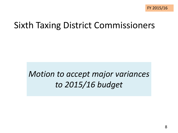#### Sixth Taxing District Commissioners

#### *Motion to accept major variances to 2015/16 budget*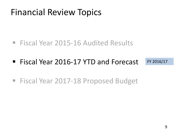- Fiscal Year 2015-16 Audited Results
- Fiscal Year 2016-17 YTD and Forecast FY 2016/17
- Fiscal Year 2017-18 Proposed Budget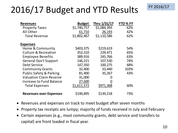#### 2016/17 Budget and YTD Results

| <b>Revenues</b>                    | <b>Budget</b> | Thru 1/31/17 | <b>YTD%FY</b> |
|------------------------------------|---------------|--------------|---------------|
| <b>Property Taxes</b>              | \$1,740,757   | \$1,084,393  | 62%           |
| All Other                          | 61,710        | 26,193       | 42%           |
| <b>Total Revenue</b>               | \$1,802,467   | \$1,110,586  | 62%           |
| <b>Expenses</b>                    |               |              |               |
| Home & Community                   | \$403,375     | \$219,619    | 54%           |
| <b>Culture &amp; Recreation</b>    | 352,310       | 229,471      | 65%           |
| <b>Employee Benefits</b>           | 389,916       | 245,766      | 63%           |
| <b>General Gov't Support</b>       | 146,221       | 107,530      | 74%           |
| Debt Service                       | 147,350       | 100,275      | 68%           |
| <b>Community Grants</b>            | 32,400        | 33,440       | 103%          |
| <b>Public Safety &amp; Parking</b> | 81,400        | 35,267       | 43%           |
| <b>Valuation Claim Reserve</b>     | 31,000        |              |               |
| <b>Increase to Fund Balance</b>    | 27,600        |              |               |
| <b>Total Expenses</b>              | \$1,611,572   | \$971,368    | 60%           |
| <b>Revenues over Expenses</b>      | \$190,895     | \$139,218    | 73%           |

- Revenues and expenses on track to meet budget after seven months
- Property tax receipts are lumpy; majority of funds received in July and February
- Certain expenses (e.g., most community grants, debt service and transfers to capital) are front loaded in fiscal year.

FY 2016/17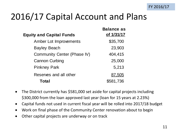#### 2016/17 Capital Account and Plans

| <b>Equity and Capital Funds</b> | <b>Balance as</b><br>of 1/31/17 |
|---------------------------------|---------------------------------|
| Amber Lot Improvements          | \$35,700                        |
| <b>Bayley Beach</b>             | 23,903                          |
| Community Center (Phase IV)     | 404,415                         |
| <b>Cannon Curbing</b>           | 25,000                          |
| <b>Pinkney Park</b>             | 5,213                           |
| Reserves and all other          | 87,505                          |
| Total                           | \$581,736                       |

- The District currently has \$581,000 set aside for capital projects including \$300,000 from the loan approved last year (loan for 15 years at 2.23%)
- Capital funds not used in current fiscal year will be rolled into 2017/18 budget
- Work on final phase of the Community Center renovation about to begin
- Other capital projects are underway or on track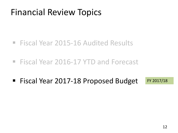- Fiscal Year 2015-16 Audited Results
- Fiscal Year 2016-17 YTD and Forecast
- Fiscal Year 2017-18 Proposed Budget FY 2017/18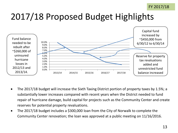#### 2017/18 Proposed Budget Highlights



- The 2017/18 budget will increase the Sixth Taxing District portion of property taxes by 1.5%; a substantially lower increases compared with recent years when the District needed to fund repair of hurricane damage, build capital for projects such as the Community Center and create reserves for potential property revaluations.
- The 2017/18 budget includes a \$300,000 loan from the City of Norwalk to complete the Community Center renovation; the loan was approved at a public meeting on 11/16/2016.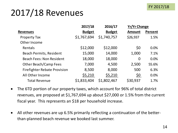#### FY 2017/18

### 2017/18 Revenues

|                                     | 2017/18       | 2016/17       | <b>Yr/Yr Change</b> |                |
|-------------------------------------|---------------|---------------|---------------------|----------------|
| <b>Revenues</b>                     | <b>Budget</b> | <b>Budget</b> | <b>Amount</b>       | <b>Percent</b> |
| <b>Property Tax</b>                 | \$1,767,694   | \$1,740,757   | \$26,937            | 1.5%           |
| Other Income                        |               |               |                     |                |
| Rentals                             | \$12,000      | \$12,000      | \$0                 | 0.0%           |
| <b>Beach Permits, Resident</b>      | 15,000        | 14,000        | 1,000               | 7.1%           |
| <b>Beach Fees: Non Resident</b>     | 18,000        | 18,000        | 0                   | 0.0%           |
| <b>Other Beach/Camp Fees</b>        | 7,000         | 4,500         | 2,500               | 55.6%          |
| <b>Firefighter Rebate Provision</b> | 8,500         | 8,000         | 500                 | 6.3%           |
| All Other Income                    | \$5,210       | \$5,210       | <u>\$0</u>          | 0.0%           |
| <b>Total Revenue</b>                | \$1,833,404   | \$1,802,467   | \$30,937            | 1.7%           |

- The 6TD portion of our property taxes, which account for 96% of total district revenues, are proposed at \$1,767,694 up about \$27,000 or 1.5% from the current fiscal year. This represents an \$18 per household increase.
- All other revenues are up 6.5% primarily reflecting a continuation of the betterthan-planned beach revenue we booked last summer.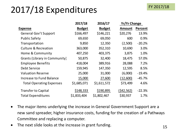#### 2017/18 Expenditures

|                                 | 2017/18       | 2016/17       | <b>Yr/Yr Change</b> |          |
|---------------------------------|---------------|---------------|---------------------|----------|
| <b>Expense</b>                  | <b>Budget</b> | <b>Budget</b> | <b>Amount</b>       | Percent  |
| <b>General Gov't Support</b>    | \$166,497     | \$146,221     | \$20,276            | 13.9%    |
| <b>Public Safety</b>            | 69,650        | 69,050        | 600                 | 0.9%     |
| Transportation                  | 9,850         | 12,350        | (2,500)             | $-20.2%$ |
| <b>Culture &amp; Recreation</b> | 363,000       | 352,310       | 10,690              | 3.0%     |
| Home & Community                | 407,250       | 403,375       | 3,875               | 1.0%     |
| Grants (Library in Community)   | 50,875        | 32,400        | 18,475              | 57.0%    |
| <b>Employee Benefits</b>        | 418,004       | 389,916       | 28,088              | 7.2%     |
| Debt Service                    | 159,945       | 147,350       | 12,595              | 8.5%     |
| <b>Valuation Reserve</b>        | 25,000        | 31,000        | (6,000)             | $-19.4%$ |
| <b>Increase to Fund Balance</b> | 15,000        | 27,600        | (12,600)            | $-45.7%$ |
| <b>Total Operating Expenses</b> | \$1,685,071   | \$1,611,572   | \$73,499            | 4.6%     |
| <b>Transfer to Capital</b>      | \$148,333     | \$190,895     | (\$42,562)          | $-22.3%$ |
| <b>Total Expenditures</b>       | \$1,833,404   | \$1,802,467   | \$30,937            | 1.7%     |

- The major items underlying the increase in General Government Support are a new sand spreader, higher insurance costs, funding for the creation of a Pathways Committee and replacing a computer.
- The next slide looks at the increase in grant funding.  $15$

FY 2017/18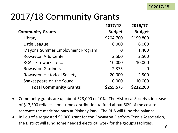### 2017/18 Community Grants

|                                    | 2017/18       | 2016/17       |
|------------------------------------|---------------|---------------|
| <b>Community Grants</b>            | <b>Budget</b> | <b>Budget</b> |
| Library                            | \$204,700     | \$199,800     |
| Little League                      | 6,000         | 6,000         |
| Mayor's Summer Employment Program  | 0             | 1,400         |
| <b>Rowayton Arts Center</b>        | 2,500         | 2,500         |
| RCA - Fireworks, etc.              | 10,000        | 10,000        |
| <b>Rowayton Gardners</b>           | 2,375         | O             |
| <b>Rowayton Historical Society</b> | 20,000        | 2,500         |
| Shakespeare on the Sound           | 10,000        | 10,000        |
| <b>Total Community Grants</b>      | \$255,575     | \$232,200     |

- Community grants are up about \$23,000 or 10%. The Historical Society's increase of \$17,500 reflects a one-time contribution to fund about 50% of the cost to renovate the maritime barn at Pinkney Park. The RHS will fund the balance.
- In lieu of a requested \$5,000 grant for the Rowayton Platform Tennis Association, the District will fund some needed electrical work for the group's facilities.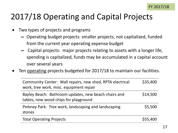#### 2017/18 Operating and Capital Projects

- Two types of projects and programs
	- ▬ Operating budget projects: smaller projects, not capitalized, funded from the current year operating expense budget
	- ▬ Capital projects: major projects relating to assets with a longer life, spending is capitalized, funds may be accumulated in a capital account over several years
- Ten operating projects budgeted for 2017/18 to maintain our facilities.

| Community Center: Wall repairs, new shed, RPTA electrical<br>work, tree work, misc. equipment repair | \$35,400 |
|------------------------------------------------------------------------------------------------------|----------|
| Bayley Beach: Bathroom updates, new beach chairs and<br>tables, new wood chips for playground        | \$14,500 |
| Pinkney Park: Tree work, landscaping and landscaping<br>stones                                       | \$5,500  |
| <b>Total Operating Projects</b>                                                                      | \$55,400 |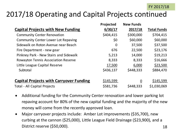#### 2017/18 Operating and Capital Projects continued

|                                                | Projected | <b>New Funds</b> |                    |
|------------------------------------------------|-----------|------------------|--------------------|
| <b>Capital Projects with New Funding</b>       | 6/30/17   | 2017/18          | <b>Total Funds</b> |
| <b>Community Center Renovation</b>             | \$404,415 | \$300,000        | \$704,415          |
| <b>Community Center Lower Lot Repaving</b>     | \$0       | \$60,000         | \$60,000           |
| Sidewalk on Roton Avenue near Beach            | 0         | 37,500           | \$37,500           |
| Fire Department - new gear                     | 676       | 22,500           | \$23,176           |
| Pinkney Park - New Stairs and Sidewalk         | 5,213     | 14,000           | \$19,213           |
| <b>Rowayton Tennis Association Reserve</b>     | 8,333     | 8,333            | \$16,666           |
| Little League Capital Reserve                  | 17,500    | 6,000            | \$23,500           |
| Subtotal                                       | \$436,137 | \$448,333        | \$884,470          |
|                                                |           |                  |                    |
| <b>Capital Projects with Carryover Funding</b> | \$145,599 | 0                | \$145,599          |
| <b>Total - All Capital Projects</b>            | \$581,736 | \$448,333        | \$1,030,069        |

- Additional funding for the Community Center renovation and lower parking lot repaving account for 80% of the new capital funding and the majority of the new money will come from the recently approved loan.
- Major carryover projects include: Amber Lot improvements (\$35,700), new curbing at the cannon (\$25,000), Little League Field Drainage (\$23,900), and a District reserve (\$50,000). 18